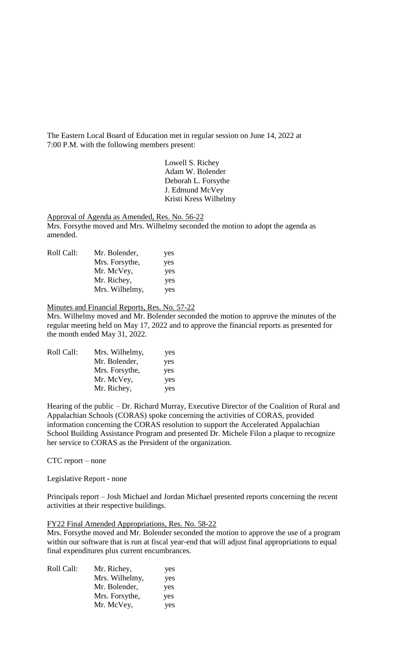The Eastern Local Board of Education met in regular session on June 14, 2022 at 7:00 P.M. with the following members present:

> Lowell S. Richey Adam W. Bolender Deborah L. Forsythe J. Edmund McVey Kristi Kress Wilhelmy

Approval of Agenda as Amended, Res. No. 56-22

Mrs. Forsythe moved and Mrs. Wilhelmy seconded the motion to adopt the agenda as amended.

| Roll Call: | Mr. Bolender,  | yes |
|------------|----------------|-----|
|            | Mrs. Forsythe, | yes |
|            | Mr. McVey,     | yes |
|            | Mr. Richey,    | yes |
|            | Mrs. Wilhelmy, | yes |

Minutes and Financial Reports, Res. No. 57-22

Mrs. Wilhelmy moved and Mr. Bolender seconded the motion to approve the minutes of the regular meeting held on May 17, 2022 and to approve the financial reports as presented for the month ended May 31, 2022.

| Mrs. Wilhelmy, | yes |
|----------------|-----|
| Mr. Bolender,  | yes |
| Mrs. Forsythe, | yes |
| Mr. McVey,     | yes |
| Mr. Richey,    | yes |
|                |     |

Hearing of the public – Dr. Richard Murray, Executive Director of the Coalition of Rural and Appalachian Schools (CORAS) spoke concerning the activities of CORAS, provided information concerning the CORAS resolution to support the Accelerated Appalachian School Building Assistance Program and presented Dr. Michele Filon a plaque to recognize her service to CORAS as the President of the organization.

#### CTC report – none

Legislative Report - none

Principals report – Josh Michael and Jordan Michael presented reports concerning the recent activities at their respective buildings.

## FY22 Final Amended Appropriations, Res. No. 58-22

Mrs. Forsythe moved and Mr. Bolender seconded the motion to approve the use of a program within our software that is run at fiscal year-end that will adjust final appropriations to equal final expenditures plus current encumbrances.

| Roll Call: | Mr. Richey,    | yes |
|------------|----------------|-----|
|            | Mrs. Wilhelmy, | yes |
|            | Mr. Bolender,  | yes |
|            | Mrs. Forsythe, | yes |
|            | Mr. McVey,     | yes |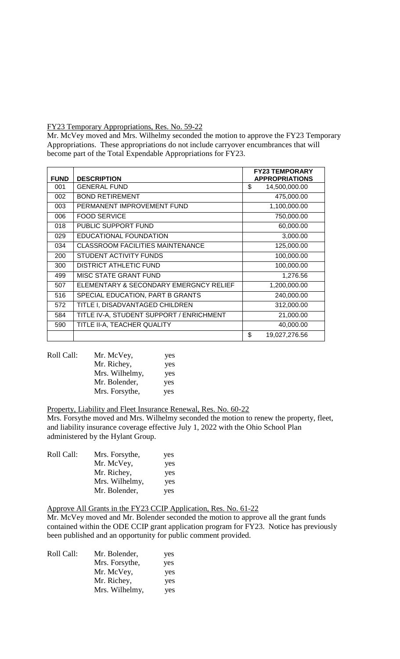## FY23 Temporary Appropriations, Res. No. 59-22

Mr. McVey moved and Mrs. Wilhelmy seconded the motion to approve the FY23 Temporary Appropriations. These appropriations do not include carryover encumbrances that will become part of the Total Expendable Appropriations for FY23.

|             |                                          | <b>FY23 TEMPORARY</b> |
|-------------|------------------------------------------|-----------------------|
| <b>FUND</b> | <b>DESCRIPTION</b>                       | <b>APPROPRIATIONS</b> |
| 001         | <b>GENERAL FUND</b>                      | \$<br>14,500,000.00   |
| 002         | <b>BOND RETIREMENT</b>                   | 475,000.00            |
| 003         | PERMANENT IMPROVEMENT FUND               | 1,100,000.00          |
| 006         | <b>FOOD SERVICE</b>                      | 750,000.00            |
| 018         | PUBLIC SUPPORT FUND                      | 60,000.00             |
| 029         | EDUCATIONAL FOUNDATION                   | 3,000.00              |
| 034         | <b>CLASSROOM FACILITIES MAINTENANCE</b>  | 125,000.00            |
| 200         | STUDENT ACTIVITY FUNDS                   | 100,000.00            |
| 300         | <b>DISTRICT ATHLETIC FUND</b>            | 100,000.00            |
| 499         | <b>MISC STATE GRANT FUND</b>             | 1,276.56              |
| 507         | ELEMENTARY & SECONDARY EMERGNCY RELIEF   | 1,200,000.00          |
| 516         | SPECIAL EDUCATION, PART B GRANTS         | 240,000.00            |
| 572         | TITLE I, DISADVANTAGED CHILDREN          | 312,000.00            |
| 584         | TITLE IV-A, STUDENT SUPPORT / ENRICHMENT | 21,000.00             |
| 590         | TITLE II-A, TEACHER QUALITY              | 40,000.00             |
|             |                                          | \$<br>19,027,276.56   |

| Roll Call: | Mr. McVey,     | yes |
|------------|----------------|-----|
|            | Mr. Richey,    | yes |
|            | Mrs. Wilhelmy, | yes |
|            | Mr. Bolender,  | yes |
|            | Mrs. Forsythe, | yes |
|            |                |     |

## Property, Liability and Fleet Insurance Renewal, Res. No. 60-22

Mrs. Forsythe moved and Mrs. Wilhelmy seconded the motion to renew the property, fleet, and liability insurance coverage effective July 1, 2022 with the Ohio School Plan administered by the Hylant Group.

| Roll Call: | Mrs. Forsythe, | yes |
|------------|----------------|-----|
|            | Mr. McVey,     | yes |
|            | Mr. Richey,    | yes |
|            | Mrs. Wilhelmy, | yes |
|            | Mr. Bolender,  | yes |
|            |                |     |

## Approve All Grants in the FY23 CCIP Application, Res. No. 61-22

Mr. McVey moved and Mr. Bolender seconded the motion to approve all the grant funds contained within the ODE CCIP grant application program for FY23. Notice has previously been published and an opportunity for public comment provided.

| Roll Call: | Mr. Bolender,  | yes |
|------------|----------------|-----|
|            | Mrs. Forsythe, | yes |
|            | Mr. McVey,     | yes |
|            | Mr. Richey,    | yes |
|            | Mrs. Wilhelmy, | yes |
|            |                |     |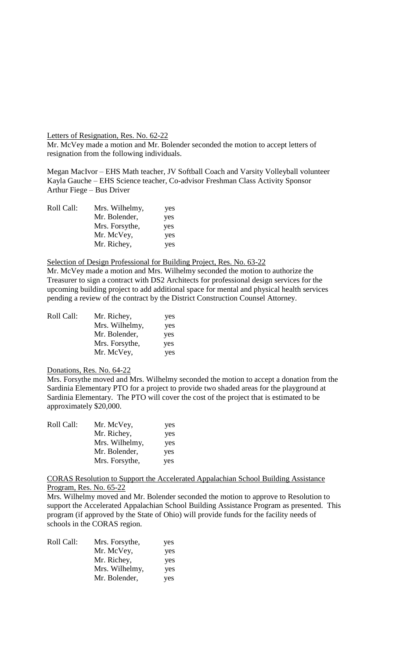Letters of Resignation, Res. No. 62-22

Mr. McVey made a motion and Mr. Bolender seconded the motion to accept letters of resignation from the following individuals.

Megan MacIvor – EHS Math teacher, JV Softball Coach and Varsity Volleyball volunteer Kayla Gauche – EHS Science teacher, Co-advisor Freshman Class Activity Sponsor Arthur Fiege – Bus Driver

| Roll Call: | Mrs. Wilhelmy, | yes |
|------------|----------------|-----|
|            | Mr. Bolender,  | yes |
|            | Mrs. Forsythe, | yes |
|            | Mr. McVey,     | yes |
|            | Mr. Richey,    | yes |

## Selection of Design Professional for Building Project, Res. No. 63-22

Mr. McVey made a motion and Mrs. Wilhelmy seconded the motion to authorize the Treasurer to sign a contract with DS2 Architects for professional design services for the upcoming building project to add additional space for mental and physical health services pending a review of the contract by the District Construction Counsel Attorney.

| Roll Call: | Mr. Richey,    | yes |
|------------|----------------|-----|
|            | Mrs. Wilhelmy, | yes |
|            | Mr. Bolender,  | yes |
|            | Mrs. Forsythe, | yes |
|            | Mr. McVey,     | yes |

#### Donations, Res. No. 64-22

Mrs. Forsythe moved and Mrs. Wilhelmy seconded the motion to accept a donation from the Sardinia Elementary PTO for a project to provide two shaded areas for the playground at Sardinia Elementary. The PTO will cover the cost of the project that is estimated to be approximately \$20,000.

| Mr. McVey,     | yes |
|----------------|-----|
| Mr. Richey,    | yes |
| Mrs. Wilhelmy, | yes |
| Mr. Bolender,  | yes |
| Mrs. Forsythe, | yes |
|                |     |

CORAS Resolution to Support the Accelerated Appalachian School Building Assistance Program, Res. No. 65-22

Mrs. Wilhelmy moved and Mr. Bolender seconded the motion to approve to Resolution to support the Accelerated Appalachian School Building Assistance Program as presented. This program (if approved by the State of Ohio) will provide funds for the facility needs of schools in the CORAS region.

| Roll Call: | Mrs. Forsythe, | yes |
|------------|----------------|-----|
|            | Mr. McVey,     | yes |
|            | Mr. Richey,    | yes |
|            | Mrs. Wilhelmy, | yes |
|            | Mr. Bolender,  | yes |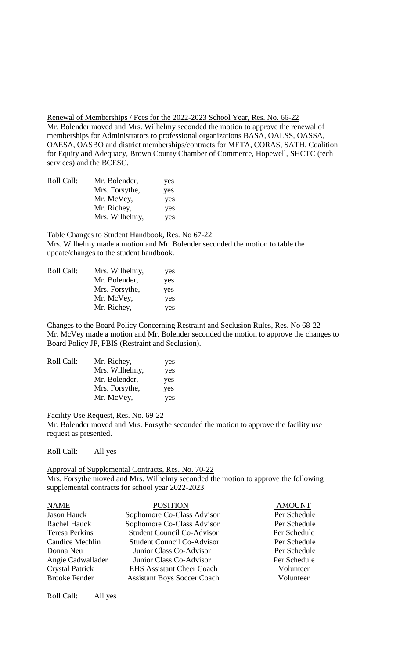Renewal of Memberships / Fees for the 2022-2023 School Year, Res. No. 66-22 Mr. Bolender moved and Mrs. Wilhelmy seconded the motion to approve the renewal of memberships for Administrators to professional organizations BASA, OALSS, OASSA, OAESA, OASBO and district memberships/contracts for META, CORAS, SATH, Coalition for Equity and Adequacy, Brown County Chamber of Commerce, Hopewell, SHCTC (tech services) and the BCESC.

| Roll Call: | Mr. Bolender,  | yes |
|------------|----------------|-----|
|            | Mrs. Forsythe, | yes |
|            | Mr. McVey,     | yes |
|            | Mr. Richey,    | yes |
|            | Mrs. Wilhelmy, | yes |

Table Changes to Student Handbook, Res. No 67-22 Mrs. Wilhelmy made a motion and Mr. Bolender seconded the motion to table the update/changes to the student handbook.

| Roll Call: | Mrs. Wilhelmy, | yes |
|------------|----------------|-----|
|            | Mr. Bolender,  | yes |
|            | Mrs. Forsythe, | yes |
|            | Mr. McVey,     | yes |
|            | Mr. Richey,    | yes |
|            |                |     |

Changes to the Board Policy Concerning Restraint and Seclusion Rules, Res. No 68-22 Mr. McVey made a motion and Mr. Bolender seconded the motion to approve the changes to Board Policy JP, PBIS (Restraint and Seclusion).

| Mr. Richey,<br>Roll Call: | yes |
|---------------------------|-----|
| Mrs. Wilhelmy,            | yes |
| Mr. Bolender,             | yes |
| Mrs. Forsythe,            | yes |
| Mr. McVey,                | yes |

Facility Use Request, Res. No. 69-22

Mr. Bolender moved and Mrs. Forsythe seconded the motion to approve the facility use request as presented.

Roll Call: All yes

Approval of Supplemental Contracts, Res. No. 70-22 Mrs. Forsythe moved and Mrs. Wilhelmy seconded the motion to approve the following supplemental contracts for school year 2022-2023.

| <b>POSITION</b>                    | <b>AMOUNT</b> |
|------------------------------------|---------------|
| Sophomore Co-Class Advisor         | Per Schedule  |
| Sophomore Co-Class Advisor         | Per Schedule  |
| <b>Student Council Co-Advisor</b>  | Per Schedule  |
| <b>Student Council Co-Advisor</b>  | Per Schedule  |
| Junior Class Co-Advisor            | Per Schedule  |
| Junior Class Co-Advisor            | Per Schedule  |
| <b>EHS Assistant Cheer Coach</b>   | Volunteer     |
| <b>Assistant Boys Soccer Coach</b> | Volunteer     |
|                                    |               |

Roll Call: All yes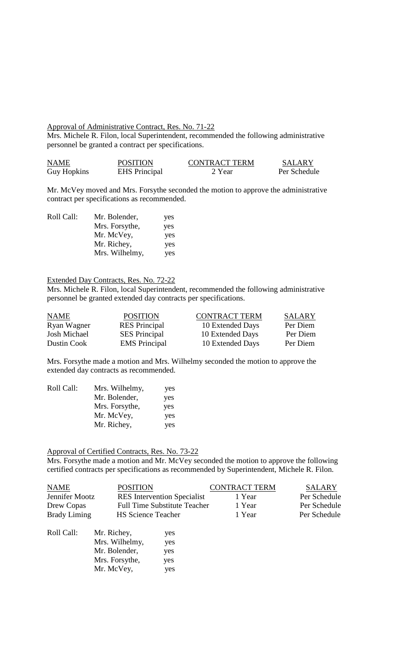#### Approval of Administrative Contract, Res. No. 71-22

Mrs. Michele R. Filon, local Superintendent, recommended the following administrative personnel be granted a contract per specifications.

| <b>NAME</b>        | <b>POSITION</b>      | <b>CONTRACT TERM</b> | SALARY       |
|--------------------|----------------------|----------------------|--------------|
| <b>Guy Hopkins</b> | <b>EHS</b> Principal | 2 Year               | Per Schedule |

Mr. McVey moved and Mrs. Forsythe seconded the motion to approve the administrative contract per specifications as recommended.

| Roll Call: | Mr. Bolender,  | yes |
|------------|----------------|-----|
|            | Mrs. Forsythe, | yes |
|            | Mr. McVey,     | yes |
|            | Mr. Richey,    | yes |
|            | Mrs. Wilhelmy, | yes |

## Extended Day Contracts, Res. No. 72-22

Mrs. Michele R. Filon, local Superintendent, recommended the following administrative personnel be granted extended day contracts per specifications.

| <b>NAME</b>         | <b>POSITION</b>      | <b>CONTRACT TERM</b> | SALARY   |
|---------------------|----------------------|----------------------|----------|
| Ryan Wagner         | <b>RES</b> Principal | 10 Extended Days     | Per Diem |
| <b>Josh Michael</b> | <b>SES</b> Principal | 10 Extended Days     | Per Diem |
| Dustin Cook         | <b>EMS</b> Principal | 10 Extended Days     | Per Diem |

Mrs. Forsythe made a motion and Mrs. Wilhelmy seconded the motion to approve the extended day contracts as recommended.

| Roll Call: | Mrs. Wilhelmy, | yes |
|------------|----------------|-----|
|            | Mr. Bolender,  | yes |
|            | Mrs. Forsythe, | yes |
|            | Mr. McVey,     | yes |
|            | Mr. Richey,    | yes |

# Approval of Certified Contracts, Res. No. 73-22

Mr. Bolender, yes Mrs. Forsythe, yes Mr. McVey, yes

Mrs. Forsythe made a motion and Mr. McVey seconded the motion to approve the following certified contracts per specifications as recommended by Superintendent, Michele R. Filon.

| <b>NAME</b><br><b>POSITION</b>                   |                |                                     | <b>CONTRACT TERM</b> | <b>SALARY</b> |
|--------------------------------------------------|----------------|-------------------------------------|----------------------|---------------|
| Jennifer Mootz                                   |                | <b>RES</b> Intervention Specialist  | 1 Year               | Per Schedule  |
| Drew Copas                                       |                | <b>Full Time Substitute Teacher</b> | 1 Year               | Per Schedule  |
| <b>Brady Liming</b><br><b>HS Science Teacher</b> |                |                                     | 1 Year               | Per Schedule  |
| Roll Call:                                       | Mr. Richey,    | yes                                 |                      |               |
|                                                  | Mrs. Wilhelmy, | yes                                 |                      |               |